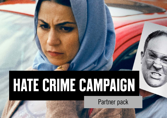# **HATE CRIME CAMPAIGN**

Partner pack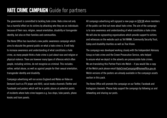## **HATE CRIME CAMPAIGN** Guide for partners

The government is committed to tackling hate crime. Hate crime not only has a harmful effect on its victims by attacking who they are as individuals because of their race, religion, sexual orientation, disability or transgender identity, but also on their families and communities.

The Home Office has launched a new public awareness campaign which aims to educate the general public on what a hate crime is. It will help to increase awareness and understanding of what constitutes a hate crime, as many people think a hate crime is just about race and religion or physical violence. There are however many types of offences which often people, including victims, do not recognise as criminal. This includes: online, verbal abuse, as well as against people for their sexual orientation, transgender identity and disability.

Campaign advertising will run across England and Wales on Video on Demand (such as ITV player and All4), social media channels (Twitter and Facebook) and posters which will be in public places at potential points of incidents where hate crime happens e.g. bus stops, tube panels, phone kiosks and tram panels.

All campaign advertising will signpost a new page on [GOV.UK](https://hatecrime.campaign.gov.uk/) where members of the public can find out more about hate crime. The aim of the campaign is to raise awareness and understanding of what constitutes a hate crime. We will also be signposting organisations which provide support to victims and witnesses on the website such as Tell MAMA, Community Security Trust, Galop and disability charities as well as True Vision.

The campaign was developed working closely with the Independent Advisory Group on hate crime and the Crown Prosecution Service, who helped to ensure what we depict in the adverts are prosecutable hate crimes. We are translating this Partner Pack into Welsh – if you would like a copy of the Welsh pack please email [HateCrimeCampaign@homeoffice.gov.uk.](mailto:HateCrimeCampaign%40homeoffice.gov.uk?subject=) Welsh versions of the posters are already available in the campaign assets section in this pack.

The Home Office will promote the campaign on our Twitter, Facebook and Instagram channels. Please help support the campaign by following us and retweeting and sharing our posts.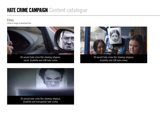Films Click on image to download film



60 second hate crime film showing religious, racial, disability and LGB hate crimes



30 second hate crime film showing religious, disability and LGB hate crimes



disability and transgender hate crimes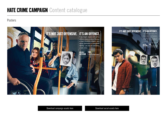#### Posters

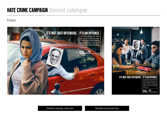#### Posters





Download campaign assets here **Download social assets here** Download social assets here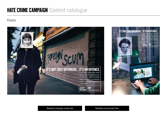#### Posters

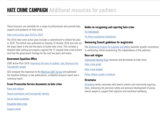These resources are available for a range of professionals who provide help, support and guidance on hate crime.

#### [Hate crime action plan 2016 to 2020](https://www.gov.uk/government/publications/hate-crime-action-plan-2016?utm_source=e7a45a0d-9b13-431b-be0d-1126e95da5ad&utm_medium=email&utm_campaign=govuk-notifications&utm_content=immediate)

The 2016 hate crime action plan includes a commitment to refresh the plan in 2018. The refresh was published on Tuesday 16 October 2018 and sets out the steps taken in the last two years to tackle hate crime. This includes a detailed table setting out progress against the 71 original hate crime actions and how the government strategy for the next two years will evolve.

#### **Government Equalities Office**

LGBT Action Plan 2018: [Improving the lives of Lesbian, Gay, Bisexual and](https://www.gov.uk/government/publications/lgbt-action-plan-2018-improving-the-lives-of-lesbian-gay-bisexual-and-transgender-people)  [Transgender people](https://www.gov.uk/government/publications/lgbt-action-plan-2018-improving-the-lives-of-lesbian-gay-bisexual-and-transgender-people)

GEO analysed the responses to the [National LGBT Survey](https://www.gov.uk/government/publications/national-lgbt-survey-summary-report) and published the headline findings in two publications, a detailed research report and a summary report.

#### **Crown Prosecution Service documents on hate crime**

[Race and religion](https://www.cps.gov.uk/node/5827)

[Sexual orientation and transgender identity](https://www.cps.gov.uk/node/5745)

[Social media guidance](https://www.cps.gov.uk/legal-guidance/social-media-guidelines-prosecuting-cases-involving-communications-sent-social-media)

[Disability hate crime](https://www.cps.gov.uk/node/5677)

[Support guide](https://www.cps.gov.uk/sites/default/files/documents/publications/guide-to-support-for-disabled-victims-and-witnesses-of-crime.pdf)

#### **Guides on recognising and reporting hate crime**

[For individuals](https://www.cps.gov.uk/sites/default/files/documents/publications/hate_crime_leaflet_2016.pdf)

For [those supporting individuals](https://www.cps.gov.uk/sites/default/files/documents/publications/Hate-Crime-what-it-is-and-how-to-support-victims-and-witnesses.pdf)

#### **Sentencing Council guidelines for magistrates**

The [Sentencing Council for England and Wales](https://www.sentencingcouncil.org.uk/) promotes greater consistency in sentencing, whilst maintaining the independence of the judiciary.

#### **Race and religion**

[Community Security Trust](https://cst.org.uk/publications/cst-publications) resources and documents on hate crime:

[Hate crime guide](https://cst.org.uk/data/file/a/4/Hate%20Crime%20-%20A%20guide%20for%20those%20affected.1503330449.pdf)

[Hate crime booklet](https://cst.org.uk/data/file/1/0/Hate-Crime-booklet.1425054245.pdf)

[Police officers guide to Judaism](https://cst.org.uk/data/file/b/9/Police%20Officer%27s%20Guide%20to%20Judaism%20web.1509378487.pdf)

#### **Streetwise**

[Streetwise](https://www.streetwisegb.org/) works nationally with Jewish schools and community organisations, enhancing the personal safety and personal development of young Jewish people to support their physical and emotional wellbeing.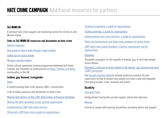## **HATE CRIME CAMPAIGN** Additional resources for partners

#### **Tell MAMA UK**

A national hate crime support and monitoring service for victims of anti-Muslim hatred.

#### **Links to Tell MAMA UK resources and documents on hate crime**

[General resources](https://tellmamauk.org/resources/)

[Step guide on how to work through a hate incident](https://tellmamauk.org/wp-content/uploads/2017/08/Hate-Crime-A-guide-for-those-affected.pdf)

[Safety tips for young people](https://tellmamauk.org/wp-content/uploads/2018/03/01.-Kids-Safety-Bulletin-PURPLE.pdf)

#### [Mosques security bulletin](https://tellmamauk.org/wp-content/uploads/2018/03/security-bulletin.pdf)

Online cultural awareness training programme developed by Friends, Families and Travellers for professionals on [Gypsy, Traveller and Roma](https://www.gypsy-traveller.org/fft-training/online-cultural-competency-training/) communities in the UK.

#### **Lesbian, gay, bisexual, transgender**

#### [Galop](http://www.galop.org.uk/)

A charity tackling hate crime against LGBT+ communities.

Links to Galop resources and documents on hate crime:

[Working with Victims of Anti-LGBT Hate Crimes: A Practical Handbook](http://www.galop.org.uk/wp-content/uploads/Working-with-Victims-of-Anti%E2%80%93LGBT-Hate-Crimes.pdf)

[Shining the light: becoming a trans positive organisation](http://www.galop.org.uk/wp-content/uploads/2011/05/final-shine-report-low-res.pdf)

[Commissioning LGBT hate crime services](http://www.galop.org.uk/wp-content/uploads/Comissioning-LGBT-Hate-Crime-Services.pdf)

[Online anti-LGBT hate crime a guide for organisations](http://www.galop.org.uk/wp-content/uploads/Online-anti-LGBT-Hate-Crime-a-Guide-for-Organisations.pdf)

[Tackling transphobia: a guide for organisations](http://www.galop.org.uk/wp-content/uploads/Tackling-Transphobia-A-Guide-For-Safety-Services.pdf)

[Tackling biphobia: a guide for organisations](http://www.galop.org.uk/wp-content/uploads/Tackling-Biphobia-A-Guide-for-Safety-Services.pdf)

[Understanding hate crime statistics: a guide for organisations](http://www.galop.org.uk/wp-content/uploads/Understanding-Hate-Crime-Statistics-A-Guide-for-Organisations.pdf)

[Public sex environments and hate crime: guidance for police forces](http://www.galop.org.uk/wp-content/uploads/Public-Sex-Environments-and-Hate-Crime.pdf)

[LGBT hate crime quality standard: a service improvement tool for](http://www.galop.org.uk/wp-content/uploads/LGBT-Hate-Crime-Quality-Standard.pdf)  [organisations](http://www.galop.org.uk/wp-content/uploads/LGBT-Hate-Crime-Quality-Standard.pdf)

#### **[Stonewall](http://www.stonewall.org.uk/)**

Stonewall campaigns for the equality of lesbian, gay, bi and trans people across Britain.

[Stonewall: a glossary of terms related to the lesbian, gay, bisexual and trans](https://www.stonewall.org.uk/help-advice/glossary-terms)  [\(LGBT\) community](https://www.stonewall.org.uk/help-advice/glossary-terms)

The [Security Industry Authority](https://www.sia.homeoffice.gov.uk/Documents/sia-ds-trans-guide.pdf) recently produced guidance for door supervisors on how to ensure trans people can have a safe and enjoyable time going to pubs, clubs, festivals and events.

#### **Disability**

#### [Changing Faces](https://www.changingfaces.org.uk/campaigns/whatishatecrime)

Disfigurement charity who provide support, advice and advocacy.

#### [Mencap](https://www.mencap.org.uk/advice-and-support/bullying/mate-and-hate-crime)

Charity for people with learning disabilities, providing advice and support.